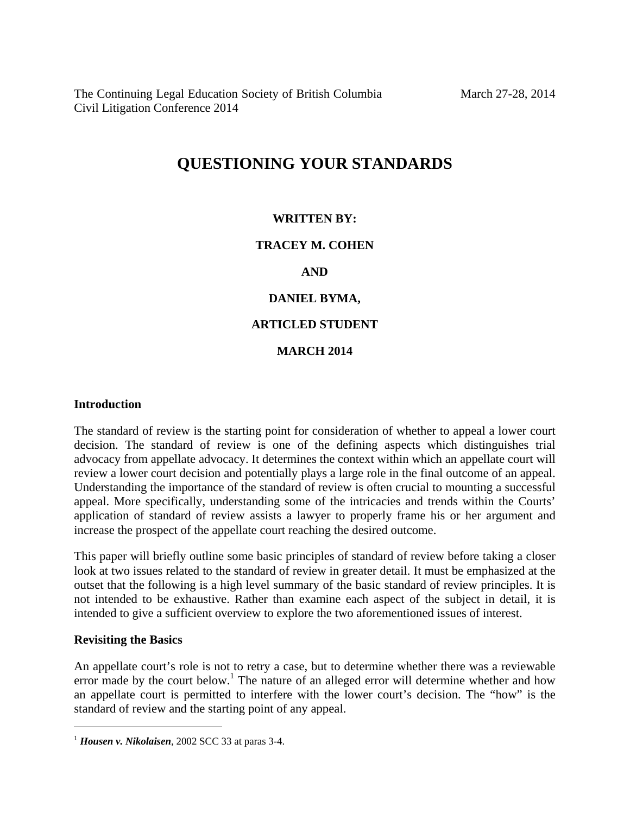The Continuing Legal Education Society of British Columbia Civil Litigation Conference 2014

# **QUESTIONING YOUR STANDARDS**

## **WRITTEN BY:**

# **TRACEY M. COHEN**

## **AND**

# **DANIEL BYMA,**

# **ARTICLED STUDENT**

## **MARCH 2014**

#### **Introduction**

The standard of review is the starting point for consideration of whether to appeal a lower court decision. The standard of review is one of the defining aspects which distinguishes trial advocacy from appellate advocacy. It determines the context within which an appellate court will review a lower court decision and potentially plays a large role in the final outcome of an appeal. Understanding the importance of the standard of review is often crucial to mounting a successful appeal. More specifically, understanding some of the intricacies and trends within the Courts' application of standard of review assists a lawyer to properly frame his or her argument and increase the prospect of the appellate court reaching the desired outcome.

This paper will briefly outline some basic principles of standard of review before taking a closer look at two issues related to the standard of review in greater detail. It must be emphasized at the outset that the following is a high level summary of the basic standard of review principles. It is not intended to be exhaustive. Rather than examine each aspect of the subject in detail, it is intended to give a sufficient overview to explore the two aforementioned issues of interest.

## **Revisiting the Basics**

 $\overline{a}$ 

An appellate court's role is not to retry a case, but to determine whether there was a reviewable error made by the court below.<sup>1</sup> The nature of an alleged error will determine whether and how an appellate court is permitted to interfere with the lower court's decision. The "how" is the standard of review and the starting point of any appeal.

<sup>1</sup> *Housen v. Nikolaisen*, 2002 SCC 33 at paras 3-4.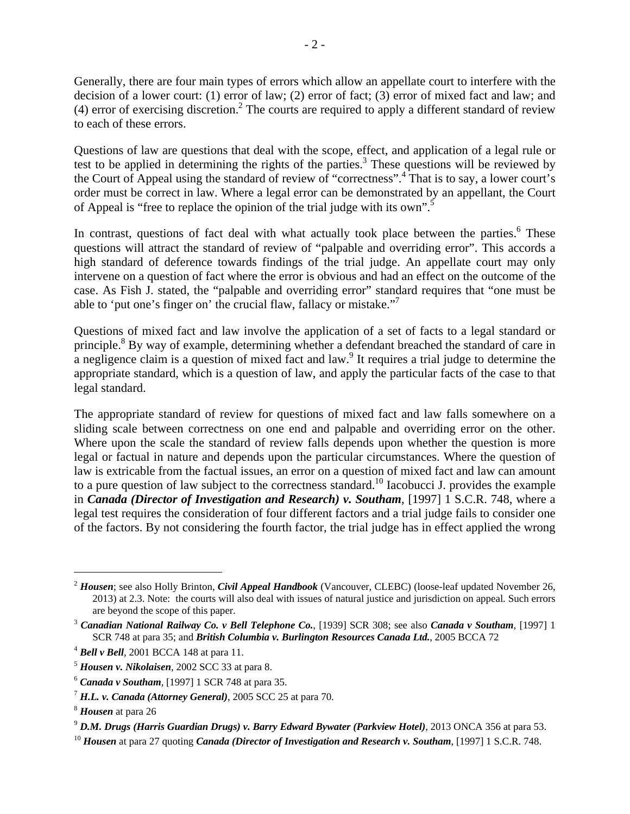Generally, there are four main types of errors which allow an appellate court to interfere with the decision of a lower court: (1) error of law; (2) error of fact; (3) error of mixed fact and law; and (4) error of exercising discretion.<sup>2</sup> The courts are required to apply a different standard of review to each of these errors.

Questions of law are questions that deal with the scope, effect, and application of a legal rule or test to be applied in determining the rights of the parties.<sup>3</sup> These questions will be reviewed by the Court of Appeal using the standard of review of "correctness".4 That is to say, a lower court's order must be correct in law. Where a legal error can be demonstrated by an appellant, the Court of Appeal is "free to replace the opinion of the trial judge with its own".<sup>5</sup>

In contrast, questions of fact deal with what actually took place between the parties.<sup>6</sup> These questions will attract the standard of review of "palpable and overriding error". This accords a high standard of deference towards findings of the trial judge. An appellate court may only intervene on a question of fact where the error is obvious and had an effect on the outcome of the case. As Fish J. stated, the "palpable and overriding error" standard requires that "one must be able to 'put one's finger on' the crucial flaw, fallacy or mistake."7

Questions of mixed fact and law involve the application of a set of facts to a legal standard or principle.<sup>8</sup> By way of example, determining whether a defendant breached the standard of care in a negligence claim is a question of mixed fact and law.<sup>9</sup> It requires a trial judge to determine the appropriate standard, which is a question of law, and apply the particular facts of the case to that legal standard.

The appropriate standard of review for questions of mixed fact and law falls somewhere on a sliding scale between correctness on one end and palpable and overriding error on the other. Where upon the scale the standard of review falls depends upon whether the question is more legal or factual in nature and depends upon the particular circumstances. Where the question of law is extricable from the factual issues, an error on a question of mixed fact and law can amount to a pure question of law subject to the correctness standard.<sup>10</sup> Iacobucci J. provides the example in *Canada (Director of Investigation and Research) v. Southam*, [1997] 1 S.C.R. 748, where a legal test requires the consideration of four different factors and a trial judge fails to consider one of the factors. By not considering the fourth factor, the trial judge has in effect applied the wrong

<sup>2</sup> *Housen*; see also Holly Brinton, *Civil Appeal Handbook* (Vancouver, CLEBC) (loose-leaf updated November 26, 2013) at 2.3. Note: the courts will also deal with issues of natural justice and jurisdiction on appeal. Such errors are beyond the scope of this paper.

<sup>3</sup> *Canadian National Railway Co. v Bell Telephone Co.*, [1939] SCR 308; see also *Canada v Southam*, [1997] 1 SCR 748 at para 35; and *British Columbia v. Burlington Resources Canada Ltd.*, 2005 BCCA 72<sup>4</sup> *Bell v Bell*, 2001 BCCA 148 at para 11. <sup>5</sup> *Housen v. Nikolaisen*, 2002 SCC 33 at para 8.

<sup>6</sup> *Canada v Southam*, [1997] 1 SCR 748 at para 35. 7 *H.L. v. Canada (Attorney General)*, 2005 SCC 25 at para 70. 8 *Housen* at para 26

<sup>&</sup>lt;sup>9</sup> D.M. Drugs (Harris Guardian Drugs) v. Barry Edward Bywater (Parkview Hotel), 2013 ONCA 356 at para 53.<br><sup>10</sup> Housen at para 27 quoting Canada (Director of Investigation and Research v. Southam, [1997] 1 S.C.R. 748.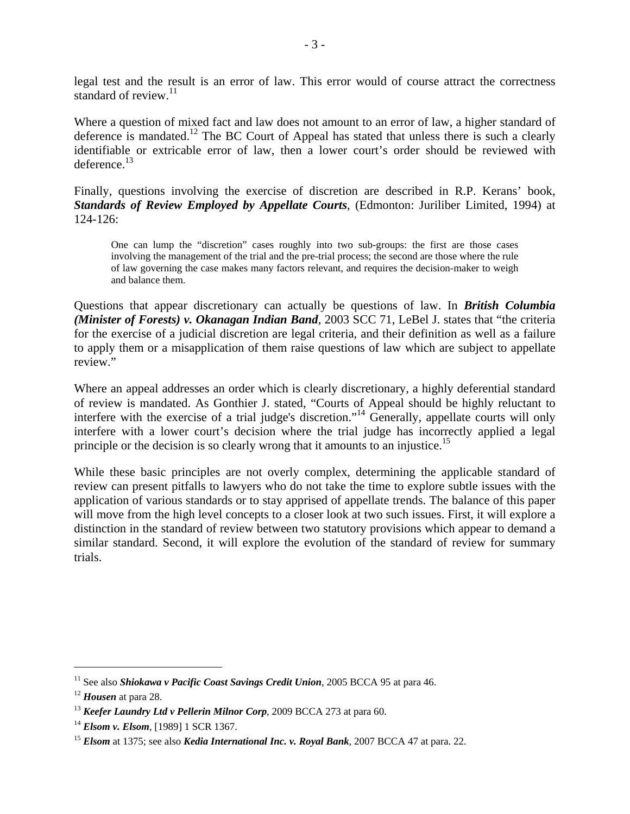legal test and the result is an error of law. This error would of course attract the correctness standard of review. $^{11}$ 

Where a question of mixed fact and law does not amount to an error of law, a higher standard of deference is mandated.<sup>12</sup> The BC Court of Appeal has stated that unless there is such a clearly identifiable or extricable error of law, then a lower court's order should be reviewed with deference.<sup>13</sup>

Finally, questions involving the exercise of discretion are described in R.P. Kerans' book, *Standards of Review Employed by Appellate Courts*, (Edmonton: Juriliber Limited, 1994) at 124-126:

One can lump the "discretion" cases roughly into two sub-groups: the first are those cases involving the management of the trial and the pre-trial process; the second are those where the rule of law governing the case makes many factors relevant, and requires the decision-maker to weigh and balance them.

Questions that appear discretionary can actually be questions of law. In *British Columbia (Minister of Forests) v. Okanagan Indian Band*, 2003 SCC 71, LeBel J. states that "the criteria for the exercise of a judicial discretion are legal criteria, and their definition as well as a failure to apply them or a misapplication of them raise questions of law which are subject to appellate review."

Where an appeal addresses an order which is clearly discretionary, a highly deferential standard of review is mandated. As Gonthier J. stated, "Courts of Appeal should be highly reluctant to interfere with the exercise of a trial judge's discretion."<sup>14</sup> Generally, appellate courts will only interfere with a lower court's decision where the trial judge has incorrectly applied a legal principle or the decision is so clearly wrong that it amounts to an injustice.<sup>15</sup>

While these basic principles are not overly complex, determining the applicable standard of review can present pitfalls to lawyers who do not take the time to explore subtle issues with the application of various standards or to stay apprised of appellate trends. The balance of this paper will move from the high level concepts to a closer look at two such issues. First, it will explore a distinction in the standard of review between two statutory provisions which appear to demand a similar standard. Second, it will explore the evolution of the standard of review for summary trials.

<sup>&</sup>lt;sup>11</sup> See also *Shiokawa v Pacific Coast Savings Credit Union*, 2005 BCCA 95 at para 46.<br><sup>12</sup> *Housen* at para 28. <sup>13</sup> *Keefer Laundry Ltd v Pellerin Milnor Corp*, 2009 BCCA 273 at para 60.

<sup>&</sup>lt;sup>14</sup> *Elsom v. Elsom*, [1989] 1 SCR 1367.<br><sup>15</sup> *Elsom* at 1375; see also *Kedia International Inc. v. Royal Bank*, 2007 BCCA 47 at para. 22.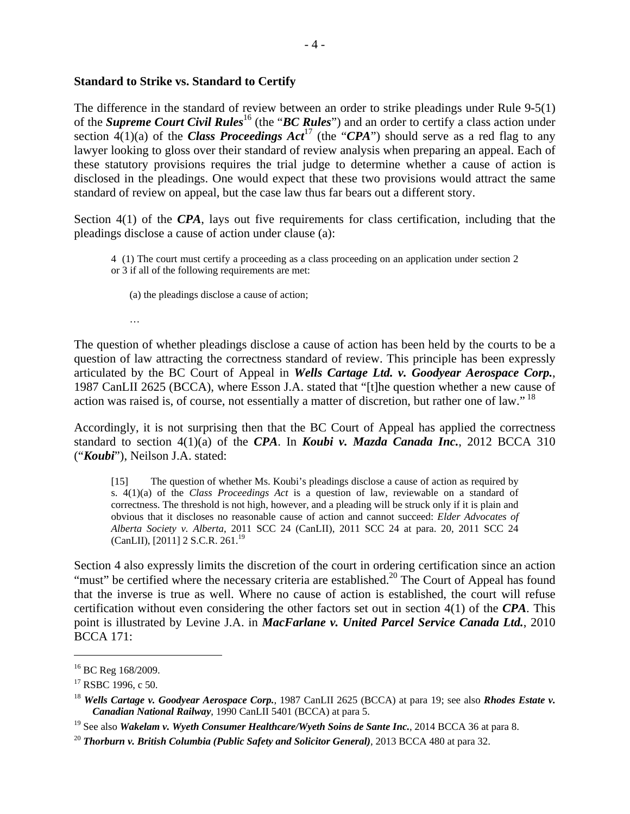#### **Standard to Strike vs. Standard to Certify**

The difference in the standard of review between an order to strike pleadings under Rule 9-5(1) of the *Supreme Court Civil Rules*<sup>16</sup> (the "*BC Rules*") and an order to certify a class action under section  $\hat{A}(1)(a)$  of the *Class Proceedings Act*<sup>17</sup> (the "*CPA*") should serve as a red flag to any lawyer looking to gloss over their standard of review analysis when preparing an appeal. Each of these statutory provisions requires the trial judge to determine whether a cause of action is disclosed in the pleadings. One would expect that these two provisions would attract the same standard of review on appeal, but the case law thus far bears out a different story.

Section 4(1) of the *CPA*, lays out five requirements for class certification, including that the pleadings disclose a cause of action under clause (a):

4 (1) The court must certify a proceeding as a class proceeding on an application under section 2 or 3 if all of the following requirements are met:

(a) the pleadings disclose a cause of action;

…

The question of whether pleadings disclose a cause of action has been held by the courts to be a question of law attracting the correctness standard of review. This principle has been expressly articulated by the BC Court of Appeal in *Wells Cartage Ltd. v. Goodyear Aerospace Corp.*, 1987 CanLII 2625 (BCCA), where Esson J.A. stated that "[t]he question whether a new cause of action was raised is, of course, not essentially a matter of discretion, but rather one of law."<sup>18</sup>

Accordingly, it is not surprising then that the BC Court of Appeal has applied the correctness standard to section 4(1)(a) of the *CPA*. In *Koubi v. Mazda Canada Inc.*, 2012 BCCA 310 ("*Koubi*"), Neilson J.A. stated:

[15] The question of whether Ms. Koubi's pleadings disclose a cause of action as required by s. 4(1)(a) of the *Class Proceedings Act* is a question of law, reviewable on a standard of correctness. The threshold is not high, however, and a pleading will be struck only if it is plain and obvious that it discloses no reasonable cause of action and cannot succeed: *Elder Advocates of Alberta Society v. Alberta*, 2011 SCC 24 (CanLII), 2011 SCC 24 at para. 20, 2011 SCC 24 (CanLII), [2011] 2 S.C.R. 261.19

Section 4 also expressly limits the discretion of the court in ordering certification since an action "must" be certified where the necessary criteria are established.<sup>20</sup> The Court of Appeal has found that the inverse is true as well. Where no cause of action is established, the court will refuse certification without even considering the other factors set out in section 4(1) of the *CPA*. This point is illustrated by Levine J.A. in *MacFarlane v. United Parcel Service Canada Ltd.*, 2010 BCCA 171:

<u>.</u>

<sup>&</sup>lt;sup>16</sup> BC Reg 168/2009.

<sup>&</sup>lt;sup>17</sup> RSBC 1996, c 50.

<sup>18</sup> *Wells Cartage v. Goodyear Aerospace Corp.*, 1987 CanLII 2625 (BCCA) at para 19; see also *Rhodes Estate v. Canadian National Railway*, 1990 CanLII 5401 (BCCA) at para 5.

<sup>&</sup>lt;sup>19</sup> See also *Wakelam v. Wyeth Consumer Healthcare/Wyeth Soins de Sante Inc.*, 2014 BCCA 36 at para 8.<br><sup>20</sup> *Thorburn v. British Columbia (Public Safety and Solicitor General)*, 2013 BCCA 480 at para 32.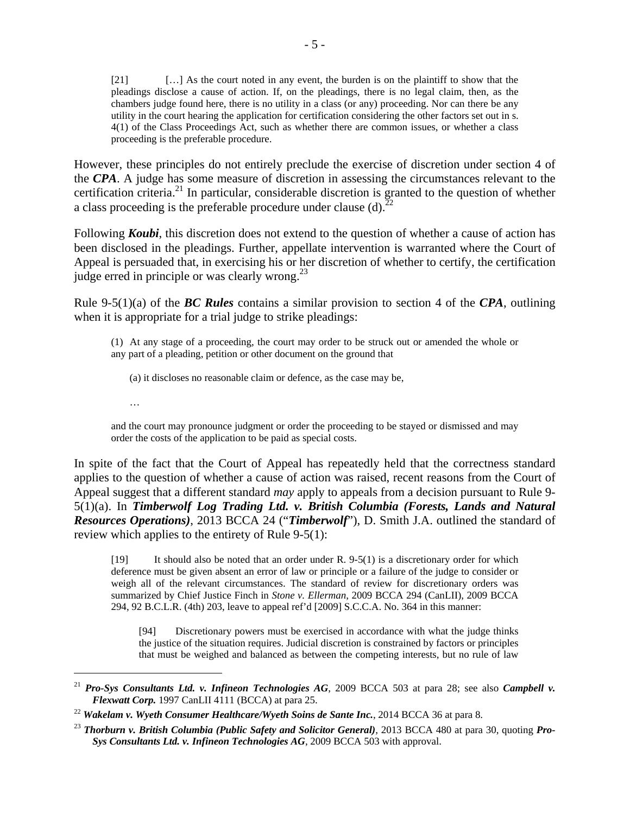[21] […] As the court noted in any event, the burden is on the plaintiff to show that the pleadings disclose a cause of action. If, on the pleadings, there is no legal claim, then, as the chambers judge found here, there is no utility in a class (or any) proceeding. Nor can there be any utility in the court hearing the application for certification considering the other factors set out in s. 4(1) of the Class Proceedings Act, such as whether there are common issues, or whether a class proceeding is the preferable procedure.

However, these principles do not entirely preclude the exercise of discretion under section 4 of the *CPA*. A judge has some measure of discretion in assessing the circumstances relevant to the certification criteria.21 In particular, considerable discretion is granted to the question of whether a class proceeding is the preferable procedure under clause (d).<sup>22</sup>

Following *Koubi*, this discretion does not extend to the question of whether a cause of action has been disclosed in the pleadings. Further, appellate intervention is warranted where the Court of Appeal is persuaded that, in exercising his or her discretion of whether to certify, the certification judge erred in principle or was clearly wrong.<sup>23</sup>

Rule 9-5(1)(a) of the *BC Rules* contains a similar provision to section 4 of the *CPA*, outlining when it is appropriate for a trial judge to strike pleadings:

(1) At any stage of a proceeding, the court may order to be struck out or amended the whole or any part of a pleading, petition or other document on the ground that

(a) it discloses no reasonable claim or defence, as the case may be,

…

 $\overline{a}$ 

and the court may pronounce judgment or order the proceeding to be stayed or dismissed and may order the costs of the application to be paid as special costs.

In spite of the fact that the Court of Appeal has repeatedly held that the correctness standard applies to the question of whether a cause of action was raised, recent reasons from the Court of Appeal suggest that a different standard *may* apply to appeals from a decision pursuant to Rule 9- 5(1)(a). In *Timberwolf Log Trading Ltd. v. British Columbia (Forests, Lands and Natural Resources Operations)*, 2013 BCCA 24 ("*Timberwolf*"), D. Smith J.A. outlined the standard of review which applies to the entirety of Rule 9-5(1):

[19] It should also be noted that an order under R. 9-5(1) is a discretionary order for which deference must be given absent an error of law or principle or a failure of the judge to consider or weigh all of the relevant circumstances. The standard of review for discretionary orders was summarized by Chief Justice Finch in *Stone v. Ellerman*, 2009 BCCA 294 (CanLII), 2009 BCCA 294, 92 B.C.L.R. (4th) 203, leave to appeal ref'd [2009] S.C.C.A. No. 364 in this manner:

[94] Discretionary powers must be exercised in accordance with what the judge thinks the justice of the situation requires. Judicial discretion is constrained by factors or principles that must be weighed and balanced as between the competing interests, but no rule of law

<sup>21</sup> *Pro-Sys Consultants Ltd. v. Infineon Technologies AG*, 2009 BCCA 503 at para 28; see also *Campbell v. Flexwatt Corp.* 1997 CanLII 4111 (BCCA) at para 25.

<sup>22</sup> *Wakelam v. Wyeth Consumer Healthcare/Wyeth Soins de Sante Inc.*, 2014 BCCA 36 at para 8.

<sup>23</sup> *Thorburn v. British Columbia (Public Safety and Solicitor General)*, 2013 BCCA 480 at para 30, quoting *Pro-Sys Consultants Ltd. v. Infineon Technologies AG*, 2009 BCCA 503 with approval.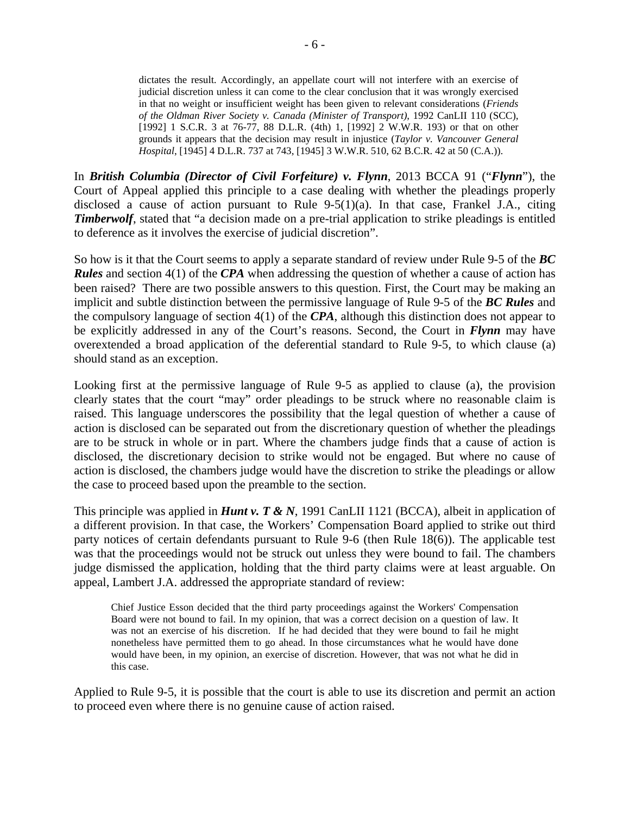dictates the result. Accordingly, an appellate court will not interfere with an exercise of judicial discretion unless it can come to the clear conclusion that it was wrongly exercised in that no weight or insufficient weight has been given to relevant considerations (*Friends of the Oldman River Society v. Canada (Minister of Transport)*, 1992 CanLII 110 (SCC), [1992] 1 S.C.R. 3 at 76-77, 88 D.L.R. (4th) 1, [1992] 2 W.W.R. 193) or that on other grounds it appears that the decision may result in injustice (*Taylor v. Vancouver General Hospital*, [1945] 4 D.L.R. 737 at 743, [1945] 3 W.W.R. 510, 62 B.C.R. 42 at 50 (C.A.)).

In *British Columbia (Director of Civil Forfeiture) v. Flynn*, 2013 BCCA 91 ("*Flynn*"), the Court of Appeal applied this principle to a case dealing with whether the pleadings properly disclosed a cause of action pursuant to Rule  $9-5(1)(a)$ . In that case, Frankel J.A., citing *Timberwolf*, stated that "a decision made on a pre-trial application to strike pleadings is entitled to deference as it involves the exercise of judicial discretion".

So how is it that the Court seems to apply a separate standard of review under Rule 9-5 of the *BC Rules* and section 4(1) of the *CPA* when addressing the question of whether a cause of action has been raised? There are two possible answers to this question. First, the Court may be making an implicit and subtle distinction between the permissive language of Rule 9-5 of the *BC Rules* and the compulsory language of section 4(1) of the *CPA*, although this distinction does not appear to be explicitly addressed in any of the Court's reasons. Second, the Court in *Flynn* may have overextended a broad application of the deferential standard to Rule 9-5, to which clause (a) should stand as an exception.

Looking first at the permissive language of Rule 9-5 as applied to clause (a), the provision clearly states that the court "may" order pleadings to be struck where no reasonable claim is raised. This language underscores the possibility that the legal question of whether a cause of action is disclosed can be separated out from the discretionary question of whether the pleadings are to be struck in whole or in part. Where the chambers judge finds that a cause of action is disclosed, the discretionary decision to strike would not be engaged. But where no cause of action is disclosed, the chambers judge would have the discretion to strike the pleadings or allow the case to proceed based upon the preamble to the section.

This principle was applied in *Hunt v. T & N*, 1991 CanLII 1121 (BCCA), albeit in application of a different provision. In that case, the Workers' Compensation Board applied to strike out third party notices of certain defendants pursuant to Rule 9-6 (then Rule 18(6)). The applicable test was that the proceedings would not be struck out unless they were bound to fail. The chambers judge dismissed the application, holding that the third party claims were at least arguable. On appeal, Lambert J.A. addressed the appropriate standard of review:

Chief Justice Esson decided that the third party proceedings against the Workers' Compensation Board were not bound to fail. In my opinion, that was a correct decision on a question of law. It was not an exercise of his discretion. If he had decided that they were bound to fail he might nonetheless have permitted them to go ahead. In those circumstances what he would have done would have been, in my opinion, an exercise of discretion. However, that was not what he did in this case.

Applied to Rule 9-5, it is possible that the court is able to use its discretion and permit an action to proceed even where there is no genuine cause of action raised.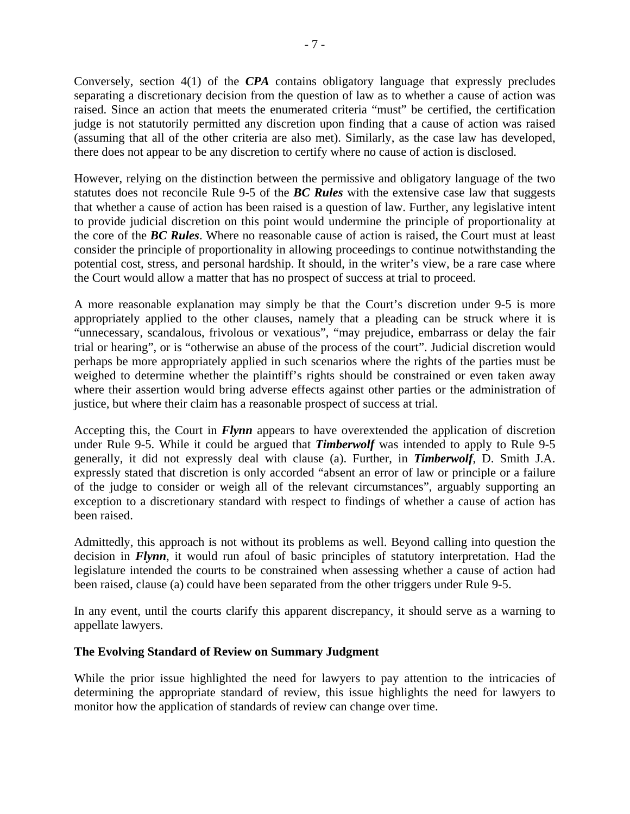Conversely, section 4(1) of the *CPA* contains obligatory language that expressly precludes separating a discretionary decision from the question of law as to whether a cause of action was raised. Since an action that meets the enumerated criteria "must" be certified, the certification judge is not statutorily permitted any discretion upon finding that a cause of action was raised (assuming that all of the other criteria are also met). Similarly, as the case law has developed, there does not appear to be any discretion to certify where no cause of action is disclosed.

However, relying on the distinction between the permissive and obligatory language of the two statutes does not reconcile Rule 9-5 of the *BC Rules* with the extensive case law that suggests that whether a cause of action has been raised is a question of law. Further, any legislative intent to provide judicial discretion on this point would undermine the principle of proportionality at the core of the *BC Rules*. Where no reasonable cause of action is raised, the Court must at least consider the principle of proportionality in allowing proceedings to continue notwithstanding the potential cost, stress, and personal hardship. It should, in the writer's view, be a rare case where the Court would allow a matter that has no prospect of success at trial to proceed.

A more reasonable explanation may simply be that the Court's discretion under 9-5 is more appropriately applied to the other clauses, namely that a pleading can be struck where it is "unnecessary, scandalous, frivolous or vexatious", "may prejudice, embarrass or delay the fair trial or hearing", or is "otherwise an abuse of the process of the court". Judicial discretion would perhaps be more appropriately applied in such scenarios where the rights of the parties must be weighed to determine whether the plaintiff's rights should be constrained or even taken away where their assertion would bring adverse effects against other parties or the administration of justice, but where their claim has a reasonable prospect of success at trial.

Accepting this, the Court in *Flynn* appears to have overextended the application of discretion under Rule 9-5. While it could be argued that *Timberwolf* was intended to apply to Rule 9-5 generally, it did not expressly deal with clause (a). Further, in *Timberwolf*, D. Smith J.A. expressly stated that discretion is only accorded "absent an error of law or principle or a failure of the judge to consider or weigh all of the relevant circumstances", arguably supporting an exception to a discretionary standard with respect to findings of whether a cause of action has been raised.

Admittedly, this approach is not without its problems as well. Beyond calling into question the decision in *Flynn*, it would run afoul of basic principles of statutory interpretation. Had the legislature intended the courts to be constrained when assessing whether a cause of action had been raised, clause (a) could have been separated from the other triggers under Rule 9-5.

In any event, until the courts clarify this apparent discrepancy, it should serve as a warning to appellate lawyers.

## **The Evolving Standard of Review on Summary Judgment**

While the prior issue highlighted the need for lawyers to pay attention to the intricacies of determining the appropriate standard of review, this issue highlights the need for lawyers to monitor how the application of standards of review can change over time.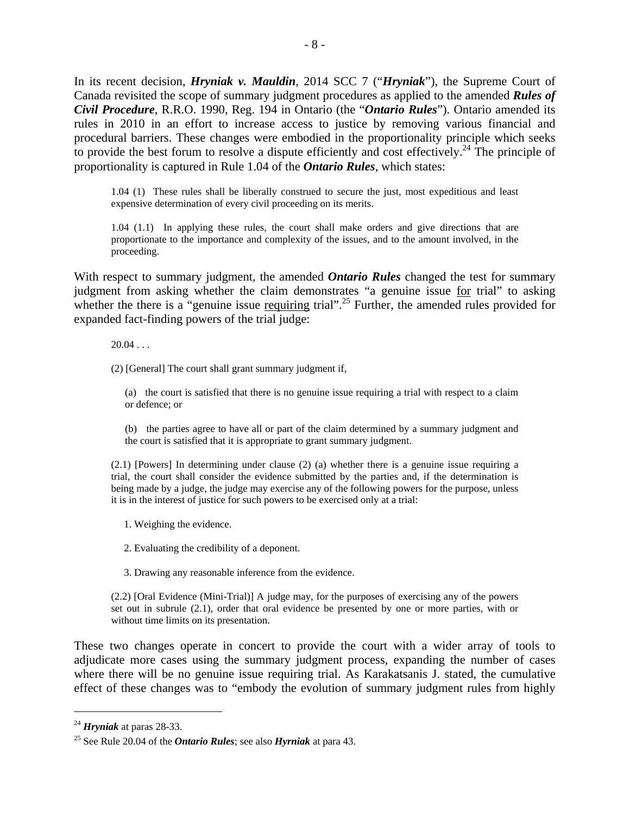In its recent decision, *Hryniak v. Mauldin*, 2014 SCC 7 ("*Hryniak*"), the Supreme Court of Canada revisited the scope of summary judgment procedures as applied to the amended *Rules of Civil Procedure*, R.R.O. 1990, Reg. 194 in Ontario (the "*Ontario Rules*"). Ontario amended its rules in 2010 in an effort to increase access to justice by removing various financial and procedural barriers. These changes were embodied in the proportionality principle which seeks to provide the best forum to resolve a dispute efficiently and cost effectively.<sup>24</sup> The principle of proportionality is captured in Rule 1.04 of the *Ontario Rules*, which states:

1.04 (1) These rules shall be liberally construed to secure the just, most expeditious and least expensive determination of every civil proceeding on its merits.

1.04 (1.1) In applying these rules, the court shall make orders and give directions that are proportionate to the importance and complexity of the issues, and to the amount involved, in the proceeding.

With respect to summary judgment, the amended *Ontario Rules* changed the test for summary judgment from asking whether the claim demonstrates "a genuine issue for trial" to asking whether the there is a "genuine issue requiring trial".<sup>25</sup> Further, the amended rules provided for expanded fact-finding powers of the trial judge:

 $20.04...$ 

(2) [General] The court shall grant summary judgment if,

(a) the court is satisfied that there is no genuine issue requiring a trial with respect to a claim or defence; or

(b) the parties agree to have all or part of the claim determined by a summary judgment and the court is satisfied that it is appropriate to grant summary judgment.

(2.1) [Powers] In determining under clause (2) (a) whether there is a genuine issue requiring a trial, the court shall consider the evidence submitted by the parties and, if the determination is being made by a judge, the judge may exercise any of the following powers for the purpose, unless it is in the interest of justice for such powers to be exercised only at a trial:

1. Weighing the evidence.

2. Evaluating the credibility of a deponent.

3. Drawing any reasonable inference from the evidence.

(2.2) [Oral Evidence (Mini-Trial)] A judge may, for the purposes of exercising any of the powers set out in subrule (2.1), order that oral evidence be presented by one or more parties, with or without time limits on its presentation.

These two changes operate in concert to provide the court with a wider array of tools to adjudicate more cases using the summary judgment process, expanding the number of cases where there will be no genuine issue requiring trial. As Karakatsanis J. stated, the cumulative effect of these changes was to "embody the evolution of summary judgment rules from highly

<sup>24</sup> *Hryniak* at paras 28-33. 25 See Rule 20.04 of the *Ontario Rules*; see also *Hyrniak* at para 43.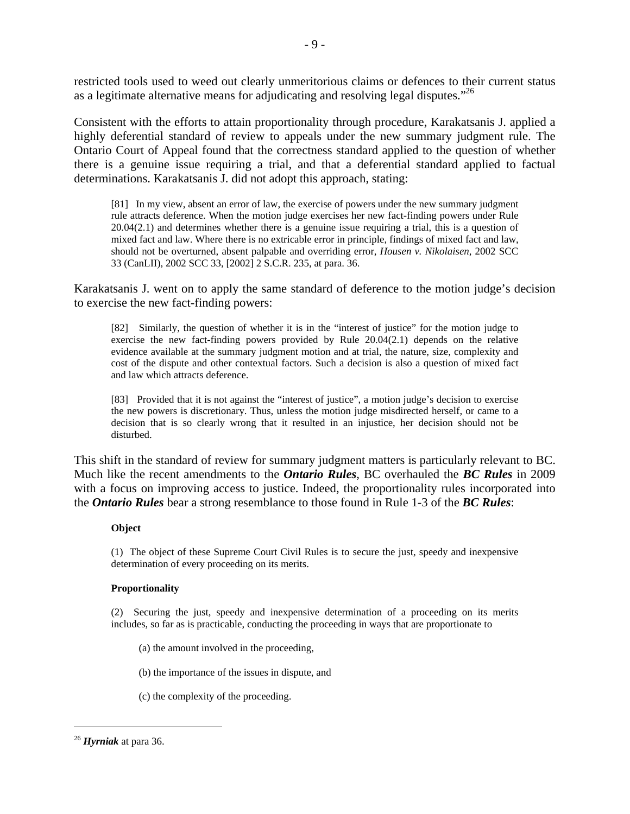restricted tools used to weed out clearly unmeritorious claims or defences to their current status as a legitimate alternative means for adjudicating and resolving legal disputes."<sup>26</sup>

Consistent with the efforts to attain proportionality through procedure, Karakatsanis J. applied a highly deferential standard of review to appeals under the new summary judgment rule. The Ontario Court of Appeal found that the correctness standard applied to the question of whether there is a genuine issue requiring a trial, and that a deferential standard applied to factual determinations. Karakatsanis J. did not adopt this approach, stating:

[81] In my view, absent an error of law, the exercise of powers under the new summary judgment rule attracts deference. When the motion judge exercises her new fact-finding powers under Rule 20.04(2.1) and determines whether there is a genuine issue requiring a trial, this is a question of mixed fact and law. Where there is no extricable error in principle, findings of mixed fact and law, should not be overturned, absent palpable and overriding error, *Housen v. Nikolaisen*, 2002 SCC 33 (CanLII), 2002 SCC 33, [2002] 2 S.C.R. 235, at para. 36.

Karakatsanis J. went on to apply the same standard of deference to the motion judge's decision to exercise the new fact-finding powers:

[82] Similarly, the question of whether it is in the "interest of justice" for the motion judge to exercise the new fact-finding powers provided by Rule 20.04(2.1) depends on the relative evidence available at the summary judgment motion and at trial, the nature, size, complexity and cost of the dispute and other contextual factors. Such a decision is also a question of mixed fact and law which attracts deference.

[83] Provided that it is not against the "interest of justice", a motion judge's decision to exercise the new powers is discretionary. Thus, unless the motion judge misdirected herself, or came to a decision that is so clearly wrong that it resulted in an injustice, her decision should not be disturbed.

This shift in the standard of review for summary judgment matters is particularly relevant to BC. Much like the recent amendments to the *Ontario Rules*, BC overhauled the *BC Rules* in 2009 with a focus on improving access to justice. Indeed, the proportionality rules incorporated into the *Ontario Rules* bear a strong resemblance to those found in Rule 1-3 of the *BC Rules*:

#### **Object**

(1) The object of these Supreme Court Civil Rules is to secure the just, speedy and inexpensive determination of every proceeding on its merits.

#### **Proportionality**

(2) Securing the just, speedy and inexpensive determination of a proceeding on its merits includes, so far as is practicable, conducting the proceeding in ways that are proportionate to

(a) the amount involved in the proceeding,

(b) the importance of the issues in dispute, and

(c) the complexity of the proceeding.

<sup>26</sup> *Hyrniak* at para 36.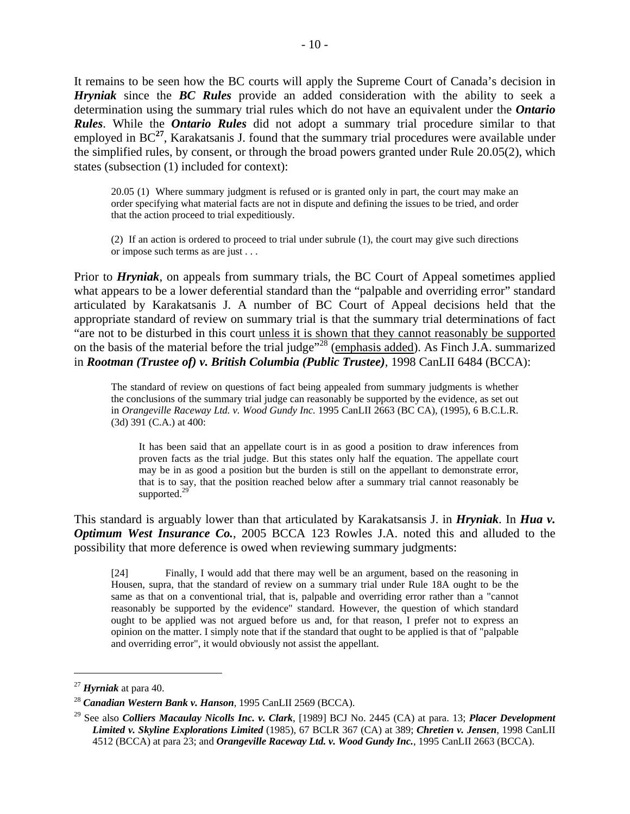It remains to be seen how the BC courts will apply the Supreme Court of Canada's decision in *Hryniak* since the *BC Rules* provide an added consideration with the ability to seek a determination using the summary trial rules which do not have an equivalent under the *Ontario Rules*. While the *Ontario Rules* did not adopt a summary trial procedure similar to that employed in BC**<sup>27</sup>**, Karakatsanis J. found that the summary trial procedures were available under the simplified rules, by consent, or through the broad powers granted under Rule 20.05(2), which states (subsection (1) included for context):

20.05 (1) Where summary judgment is refused or is granted only in part, the court may make an order specifying what material facts are not in dispute and defining the issues to be tried, and order that the action proceed to trial expeditiously.

(2) If an action is ordered to proceed to trial under subrule (1), the court may give such directions or impose such terms as are just . . .

Prior to *Hryniak*, on appeals from summary trials, the BC Court of Appeal sometimes applied what appears to be a lower deferential standard than the "palpable and overriding error" standard articulated by Karakatsanis J. A number of BC Court of Appeal decisions held that the appropriate standard of review on summary trial is that the summary trial determinations of fact "are not to be disturbed in this court unless it is shown that they cannot reasonably be supported on the basis of the material before the trial judge"28 (emphasis added). As Finch J.A. summarized in *Rootman (Trustee of) v. British Columbia (Public Trustee)*, 1998 CanLII 6484 (BCCA):

The standard of review on questions of fact being appealed from summary judgments is whether the conclusions of the summary trial judge can reasonably be supported by the evidence, as set out in *Orangeville Raceway Ltd. v. Wood Gundy Inc.* 1995 CanLII 2663 (BC CA), (1995), 6 B.C.L.R. (3d) 391 (C.A.) at 400:

It has been said that an appellate court is in as good a position to draw inferences from proven facts as the trial judge. But this states only half the equation. The appellate court may be in as good a position but the burden is still on the appellant to demonstrate error, that is to say, that the position reached below after a summary trial cannot reasonably be supported.<sup>29</sup>

This standard is arguably lower than that articulated by Karakatsansis J. in *Hryniak*. In *Hua v. Optimum West Insurance Co.*, 2005 BCCA 123 Rowles J.A. noted this and alluded to the possibility that more deference is owed when reviewing summary judgments:

[24] Finally, I would add that there may well be an argument, based on the reasoning in Housen, supra, that the standard of review on a summary trial under Rule 18A ought to be the same as that on a conventional trial, that is, palpable and overriding error rather than a "cannot reasonably be supported by the evidence" standard. However, the question of which standard ought to be applied was not argued before us and, for that reason, I prefer not to express an opinion on the matter. I simply note that if the standard that ought to be applied is that of "palpable and overriding error", it would obviously not assist the appellant.

<sup>&</sup>lt;sup>27</sup> *Hyrniak* at para 40.<br><sup>28</sup> *Canadian Western Bank v. Hanson.* 1995 CanLII 2569 (BCCA).

<sup>29</sup> See also *Colliers Macaulay Nicolls Inc. v. Clark*, [1989] BCJ No. 2445 (CA) at para. 13; *Placer Development Limited v. Skyline Explorations Limited* (1985), 67 BCLR 367 (CA) at 389; *Chretien v. Jensen*, 1998 CanLII 4512 (BCCA) at para 23; and *Orangeville Raceway Ltd. v. Wood Gundy Inc.*, 1995 CanLII 2663 (BCCA).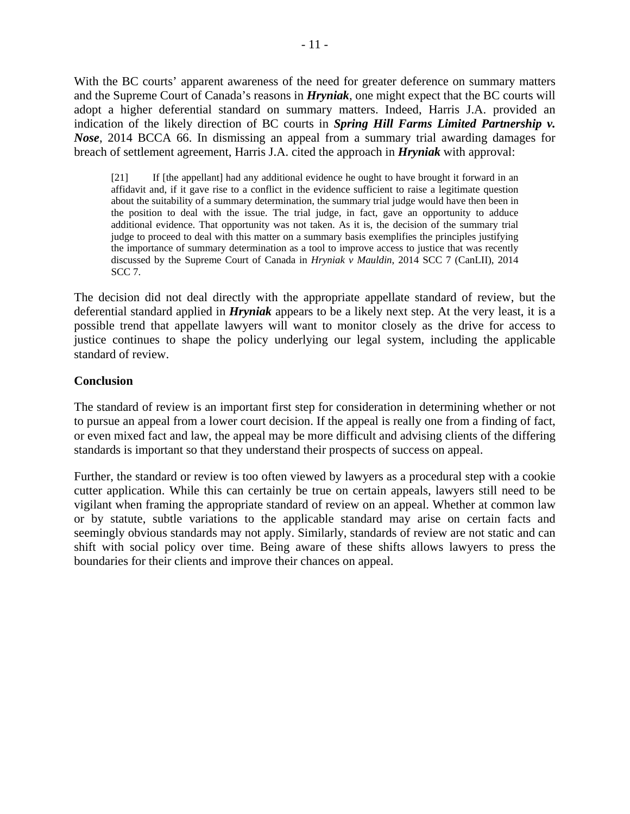With the BC courts' apparent awareness of the need for greater deference on summary matters and the Supreme Court of Canada's reasons in *Hryniak*, one might expect that the BC courts will adopt a higher deferential standard on summary matters. Indeed, Harris J.A. provided an indication of the likely direction of BC courts in *Spring Hill Farms Limited Partnership v. Nose*, 2014 BCCA 66. In dismissing an appeal from a summary trial awarding damages for breach of settlement agreement, Harris J.A. cited the approach in *Hryniak* with approval:

[21] If [the appellant] had any additional evidence he ought to have brought it forward in an affidavit and, if it gave rise to a conflict in the evidence sufficient to raise a legitimate question about the suitability of a summary determination, the summary trial judge would have then been in the position to deal with the issue. The trial judge, in fact, gave an opportunity to adduce additional evidence. That opportunity was not taken. As it is, the decision of the summary trial judge to proceed to deal with this matter on a summary basis exemplifies the principles justifying the importance of summary determination as a tool to improve access to justice that was recently discussed by the Supreme Court of Canada in *Hryniak v Mauldin*, 2014 SCC 7 (CanLII), 2014 SCC 7.

The decision did not deal directly with the appropriate appellate standard of review, but the deferential standard applied in *Hryniak* appears to be a likely next step. At the very least, it is a possible trend that appellate lawyers will want to monitor closely as the drive for access to justice continues to shape the policy underlying our legal system, including the applicable standard of review.

## **Conclusion**

The standard of review is an important first step for consideration in determining whether or not to pursue an appeal from a lower court decision. If the appeal is really one from a finding of fact, or even mixed fact and law, the appeal may be more difficult and advising clients of the differing standards is important so that they understand their prospects of success on appeal.

Further, the standard or review is too often viewed by lawyers as a procedural step with a cookie cutter application. While this can certainly be true on certain appeals, lawyers still need to be vigilant when framing the appropriate standard of review on an appeal. Whether at common law or by statute, subtle variations to the applicable standard may arise on certain facts and seemingly obvious standards may not apply. Similarly, standards of review are not static and can shift with social policy over time. Being aware of these shifts allows lawyers to press the boundaries for their clients and improve their chances on appeal.